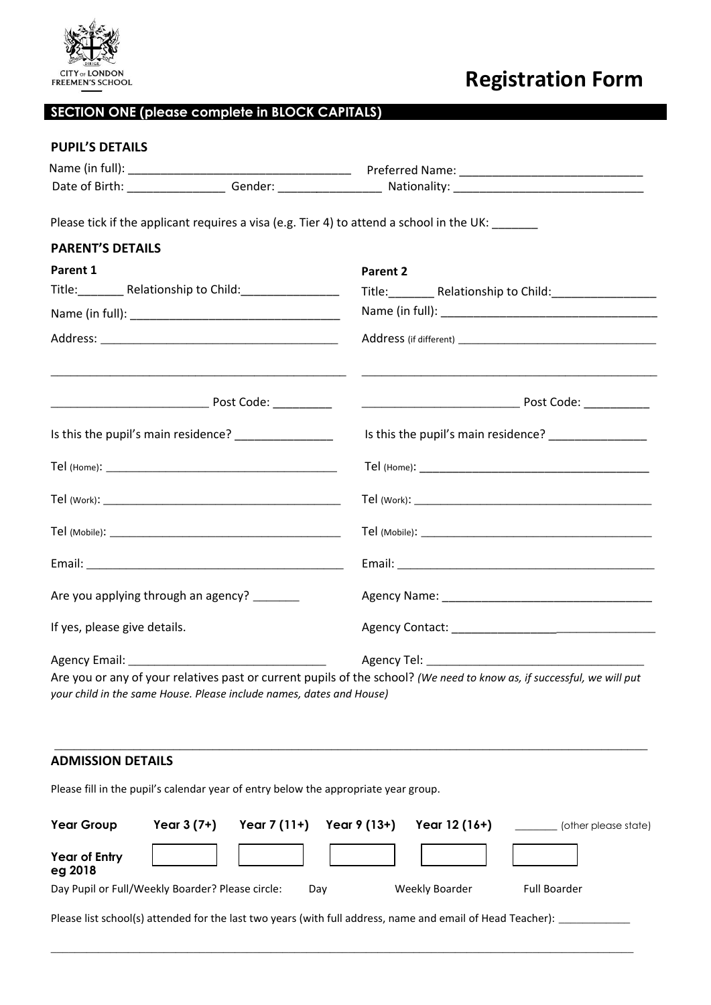

# **Registration Form**

# **SECTION ONE (please complete in BLOCK CAPITALS)**

| <b>PUPIL'S DETAILS</b>                                                                                                                                                                                                        |                                                                                                                        |
|-------------------------------------------------------------------------------------------------------------------------------------------------------------------------------------------------------------------------------|------------------------------------------------------------------------------------------------------------------------|
|                                                                                                                                                                                                                               |                                                                                                                        |
|                                                                                                                                                                                                                               |                                                                                                                        |
| Please tick if the applicant requires a visa (e.g. Tier 4) to attend a school in the UK: _______                                                                                                                              |                                                                                                                        |
| <b>PARENT'S DETAILS</b>                                                                                                                                                                                                       |                                                                                                                        |
| Parent 1                                                                                                                                                                                                                      | Parent 2                                                                                                               |
| Title: Relationship to Child: ________________                                                                                                                                                                                |                                                                                                                        |
|                                                                                                                                                                                                                               |                                                                                                                        |
|                                                                                                                                                                                                                               |                                                                                                                        |
| the control of the control of the control of the control of the control of the control of the control of the control of the control of the control of the control of the control of the control of the control of the control | <u> 1999 - Johann Harry Harry Harry Harry Harry Harry Harry Harry Harry Harry Harry Harry Harry Harry Harry Harry</u>  |
| Is this the pupil's main residence? _______________                                                                                                                                                                           | Is this the pupil's main residence? _______________                                                                    |
|                                                                                                                                                                                                                               |                                                                                                                        |
|                                                                                                                                                                                                                               |                                                                                                                        |
|                                                                                                                                                                                                                               |                                                                                                                        |
|                                                                                                                                                                                                                               |                                                                                                                        |
| Are you applying through an agency? ________                                                                                                                                                                                  |                                                                                                                        |
| If yes, please give details.                                                                                                                                                                                                  |                                                                                                                        |
|                                                                                                                                                                                                                               |                                                                                                                        |
| your child in the same House. Please include names, dates and House)                                                                                                                                                          | Are you or any of your relatives past or current pupils of the school? (We need to know as, if successful, we will put |
| <b>ADMISSION DETAILS</b>                                                                                                                                                                                                      |                                                                                                                        |
| Please fill in the pupil's calendar year of entry below the appropriate year group.                                                                                                                                           |                                                                                                                        |
| <b>Year Group</b><br>Year $3(7+)$<br>Year 7 (11+)                                                                                                                                                                             | Year 9 (13+)<br>Year 12 (16+)<br>(other please state)                                                                  |
| <b>Year of Entry</b><br>eg 2018                                                                                                                                                                                               |                                                                                                                        |
| Day Pupil or Full/Weekly Boarder? Please circle:<br>Day                                                                                                                                                                       | <b>Weekly Boarder</b><br><b>Full Boarder</b>                                                                           |
| Please list school(s) attended for the last two years (with full address, name and email of Head Teacher):                                                                                                                    |                                                                                                                        |

\_\_\_\_\_\_\_\_\_\_\_\_\_\_\_\_\_\_\_\_\_\_\_\_\_\_\_\_\_\_\_\_\_\_\_\_\_\_\_\_\_\_\_\_\_\_\_\_\_\_\_\_\_\_\_\_\_\_\_\_\_\_\_\_\_\_\_\_\_\_\_\_\_\_\_\_\_\_\_\_\_\_\_\_\_\_\_\_\_\_\_\_\_\_\_\_\_\_